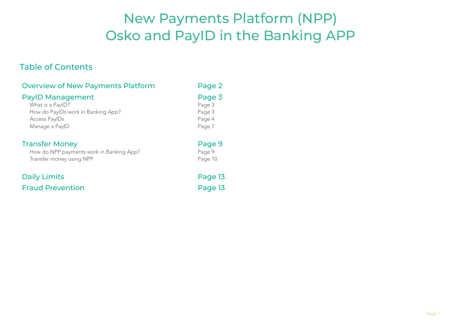# New Payments Platform (NPP) Osko and PayID in the Banking APP

### Table of Contents

| <b>Overview of New Payments Platform</b>                                                                                    | Page 2                                         |
|-----------------------------------------------------------------------------------------------------------------------------|------------------------------------------------|
| <b>PayID Management</b><br>What is a PayID?<br>How do PaylDs work in Banking App?<br><b>Access PayIDs</b><br>Manage a PaylD | Page 3<br>Page 3<br>Page 3<br>Page 4<br>Page 7 |
| <b>Transfer Money</b><br>How do NPP payments work in Banking App?<br>Transfer money using NPP                               | Page 9<br>Page 9<br>Page 10                    |
| <b>Daily Limits</b>                                                                                                         | Page 13                                        |
| <b>Fraud Prevention</b>                                                                                                     | Page 13                                        |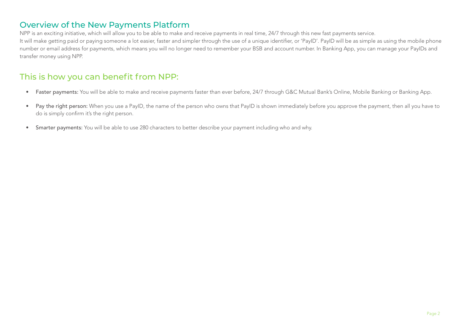## Overview of the New Payments Platform

NPP is an exciting initiative, which will allow you to be able to make and receive payments in real time, 24/7 through this new fast payments service.

It will make getting paid or paying someone a lot easier, faster and simpler through the use of a unique identifier, or 'PayID'. PayID will be as simple as using the mobile phone number or email address for payments, which means you will no longer need to remember your BSB and account number. In Banking App, you can manage your PayIDs and transfer money using NPP.

# This is how you can benefit from NPP:

- Faster payments: You will be able to make and receive payments faster than ever before, 24/7 through G&C Mutual Bank's Online, Mobile Banking or Banking App.
- Pay the right person: When you use a PayID, the name of the person who owns that PayID is shown immediately before you approve the payment, then all you have to do is simply confirm it's the right person.
- Smarter payments: You will be able to use 280 characters to better describe your payment including who and why.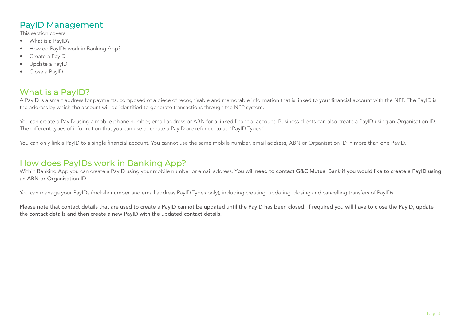# PayID Management

This section covers:

- What is a PayID?
- How do PayIDs work in Banking App?
- Create a PayID
- Update a PayID
- • Close a PayID

# What is a PayID?

A PayID is a smart address for payments, composed of a piece of recognisable and memorable information that is linked to your financial account with the NPP. The PayID is the address by which the account will be identified to generate transactions through the NPP system.

You can create a PayID using a mobile phone number, email address or ABN for a linked financial account. Business clients can also create a PayID using an Organisation ID. The different types of information that you can use to create a PayID are referred to as "PayID Types".

You can only link a PayID to a single financial account. You cannot use the same mobile number, email address, ABN or Organisation ID in more than one PayID.

### How does PayIDs work in Banking App?

Within Banking App you can create a PayID using your mobile number or email address. You will need to contact G&C Mutual Bank if you would like to create a PayID using an ABN or Organisation ID.

You can manage your PayIDs (mobile number and email address PayID Types only), including creating, updating, closing and cancelling transfers of PayIDs.

Please note that contact details that are used to create a PayID cannot be updated until the PayID has been closed. If required you will have to close the PayID, update the contact details and then create a new PayID with the updated contact details.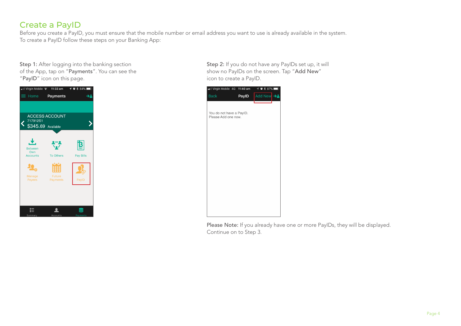# Create a PayID

Before you create a PayID, you must ensure that the mobile number or email address you want to use is already available in the system. To create a PayID follow these steps on your Banking App:

Step 1: After logging into the banking section of the App, tap on "Payments". You can see the "PayID" icon on this page.



Step 2: If you do not have any PayIDs set up, it will show no PayIDs on the screen. Tap "Add New" icon to create a PayID.



Please Note: If you already have one or more PayIDs, they will be displayed. Continue on to Step 3.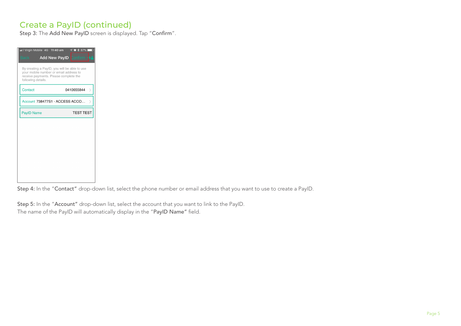# Create a PayID (continued)

Step 3: The Add New PayID screen is displayed. Tap "Confirm".

| .1 Virgin Mobile 4G 11:40 am                                                                                                                          | $\frac{1}{2}$ 87%<br>⊙       |
|-------------------------------------------------------------------------------------------------------------------------------------------------------|------------------------------|
| Back                                                                                                                                                  | <b>Add New PayID</b> Confirm |
| By creating a PayID, you will be able to use<br>your mobile number or email address to<br>receive payments. Please complete the<br>following details. |                              |
| Contact                                                                                                                                               | 0410655844                   |
| Account 738477S1 - ACCESS ACCO                                                                                                                        |                              |
| <b>PayID Name</b>                                                                                                                                     | <b>TEST TEST</b>             |
|                                                                                                                                                       |                              |
|                                                                                                                                                       |                              |
|                                                                                                                                                       |                              |
|                                                                                                                                                       |                              |
|                                                                                                                                                       |                              |
|                                                                                                                                                       |                              |

Step 4: In the "Contact" drop-down list, select the phone number or email address that you want to use to create a PayID.

Step 5: In the "Account" drop-down list, select the account that you want to link to the PayID. The name of the PayID will automatically display in the "PayID Name" field.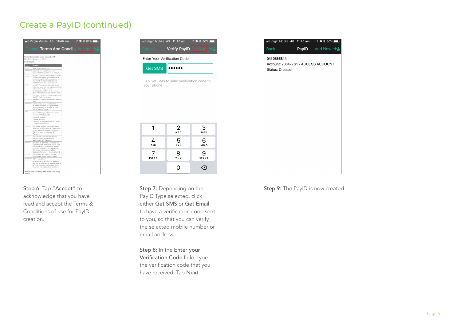# Create a PayID (continued)



acknowledge that you have read and accept the Terms & Conditions of use for PayID creation.

| <b>IT VIRGIN MODILE 4G TT-40 am</b> |                                          | $\gamma$ $\bullet$ $\gamma$ 80% |
|-------------------------------------|------------------------------------------|---------------------------------|
| <b>Cancel</b>                       | Verify PayID                             | <b>Nex</b>                      |
| <b>Enter Your Verification Code</b> |                                          |                                 |
| <b>Get SMS</b>                      |                                          |                                 |
|                                     | Tap Get SMS to send verification code to |                                 |
| your phone                          |                                          |                                 |
|                                     |                                          |                                 |
|                                     |                                          |                                 |
|                                     |                                          |                                 |
| 1                                   | 2                                        | 3                               |
|                                     | <b>ABC</b>                               | DEF                             |
| 4<br>GHI                            | 5<br>JKL                                 | 6<br>MNO                        |
|                                     |                                          |                                 |
| PQRS                                | 8<br><b>TUV</b>                          | WXYZ                            |
|                                     |                                          |                                 |
|                                     | Ω                                        | $\times$                        |

<u> Listen de la contrada de la contrada de la contrada de la contrada de la contrada de la contrada de la contra</u>

Step 7: Depending on the PayID Type selected, click either Get SMS or Get Email to have a verification code sent to you, so that you can verify the selected mobile number or email address.

Step 8: In the Enter your Verification Code field, type the verification code that you have received. Tap Next.



Step 6: Tap "Accept" to Step 7: Depending on the Step 9: The PayID is now created.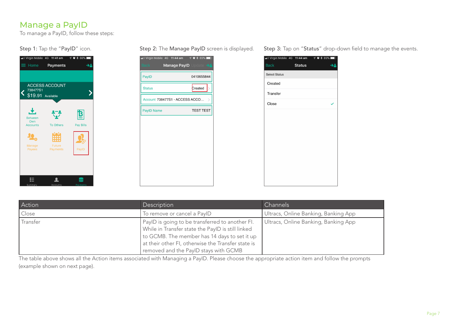# Manage a PayID

To manage a PayID, follow these steps:

#### Step 1: Tap the "PayID" icon.





Step 2: The Manage PayID screen is displayed. Step 3: Tap on "Status" drop-down field to manage the events.

| <b>Back</b>          | <b>Status</b> |  |
|----------------------|---------------|--|
| <b>Select Status</b> |               |  |
| Created              |               |  |
| Transfer             |               |  |
| Close                |               |  |
|                      |               |  |
|                      |               |  |
|                      |               |  |
|                      |               |  |
|                      |               |  |
|                      |               |  |
|                      |               |  |
|                      |               |  |
|                      |               |  |

| Action   | Description                                                                                                                                                                                                                                         | Channels                             |
|----------|-----------------------------------------------------------------------------------------------------------------------------------------------------------------------------------------------------------------------------------------------------|--------------------------------------|
| Close    | To remove or cancel a PayID                                                                                                                                                                                                                         | Ultracs, Online Banking, Banking App |
| Transfer | PayID is going to be transferred to another FI.<br>While in Transfer state the PayID is still linked<br>to GCMB. The member has 14 days to set it up<br>at their other FI, otherwise the Transfer state is<br>removed and the PayID stays with GCMB | Ultracs, Online Banking, Banking App |

The table above shows all the Action items associated with Managing a PayID. Please choose the appropriate action item and follow the prompts (example shown on next page).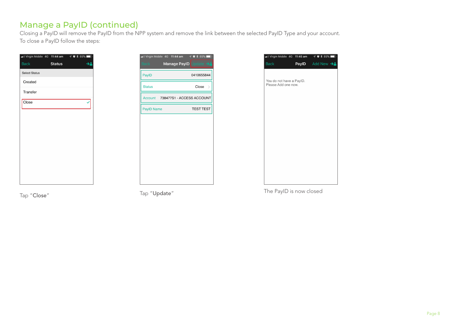# Manage a PayID (continued)

Closing a PayID will remove the PayID from the NPP system and remove the link between the selected PayID Type and your account. To close a PayID follow the steps:

| <b>Back</b>          | <b>Status</b> | ∙∸ |
|----------------------|---------------|----|
| <b>Select Status</b> |               |    |
| Created              |               |    |
| Transfer             |               |    |
| Close                |               |    |
|                      |               |    |
|                      |               |    |
|                      |               |    |
|                      |               |    |
|                      |               |    |
|                      |               |    |
|                      |               |    |
|                      |               |    |





Tap "Close" Tap "Update" The PayID is now closed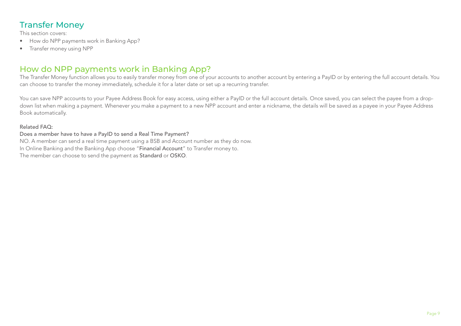# Transfer Money

This section covers:

- How do NPP payments work in Banking App?
- • Transfer money using NPP

# How do NPP payments work in Banking App?

The Transfer Money function allows you to easily transfer money from one of your accounts to another account by entering a PayID or by entering the full account details. You can choose to transfer the money immediately, schedule it for a later date or set up a recurring transfer.

You can save NPP accounts to your Payee Address Book for easy access, using either a PayID or the full account details. Once saved, you can select the payee from a dropdown list when making a payment. Whenever you make a payment to a new NPP account and enter a nickname, the details will be saved as a payee in your Payee Address Book automatically.

#### Related FAQ:

Does a member have to have a PayID to send a Real Time Payment? NO. A member can send a real time payment using a BSB and Account number as they do now. In Online Banking and the Banking App choose "Financial Account" to Transfer money to. The member can choose to send the payment as Standard or OSKO.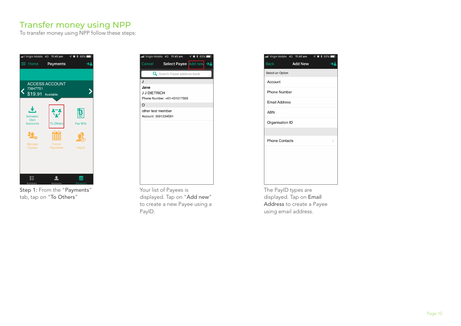# Transfer money using NPP

To transfer money using NPP follow these steps:



Step 1: From the "Payments" tab, tap on "To Others"



Your list of Payees is displayed. Tap on "Add new" to create a new Payee using a PayID.

|                       | all Virgin Mobile 4G 11:41 am | $\neg$ $\neg$ $\neg$ $\neg$ 85% |
|-----------------------|-------------------------------|---------------------------------|
| <b>Back</b>           | <b>Add New</b>                |                                 |
| Select an Option      |                               |                                 |
| Account               |                               |                                 |
| <b>Phone Number</b>   |                               |                                 |
| <b>Email Address</b>  |                               |                                 |
| <b>ABN</b>            |                               |                                 |
| Organisation ID       |                               |                                 |
|                       |                               |                                 |
| <b>Phone Contacts</b> |                               | ↘                               |
|                       |                               |                                 |
|                       |                               |                                 |
|                       |                               |                                 |
|                       |                               |                                 |
| $-1$<br>$\sim$ $\sim$ | $\sim$                        |                                 |

The PayID types are displayed. Tap on Email Address to create a Payee using email address.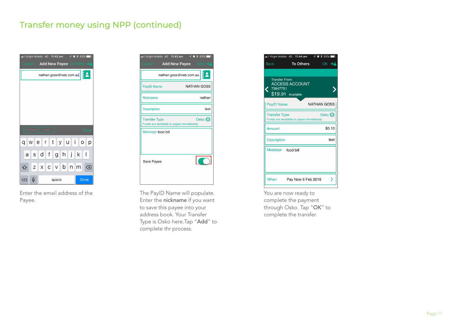# Transfer money using NPP (continued)



Enter the email address of the Payee.

|                      | ┋<br>nathan.goss@nab.com.au                         |
|----------------------|-----------------------------------------------------|
| <b>PayID Name</b>    | <b>NATHAN GOSS</b>                                  |
| Nickname             | nathan                                              |
| <b>Description</b>   | test                                                |
| <b>Transfer Type</b> | Osko O<br>Funds are available to payee immediately. |
| Message food bill    |                                                     |
| Save Payee           |                                                     |

The PayID Name will populate. Enter the nickname if you want to save this payee into your address book. Your Transfer Type is Osko here.Tap "Add" to complete thr process.



You are now ready to complete the payment through Osko. Tap "OK" to complete the transfer.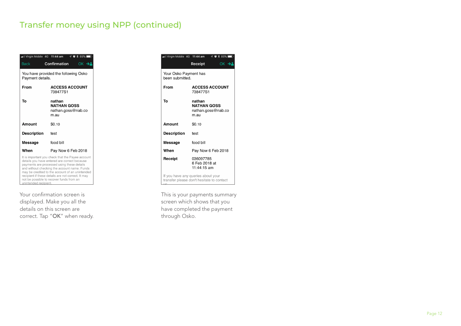# Transfer money using NPP (continued)

| .Ill Virgin Mobile 4G 11:44 am                           | $\neg$ $\neg$ $\neg$ $\neg$ 85%                                                                                                                                                                                                                                                                                                                     |  |  |
|----------------------------------------------------------|-----------------------------------------------------------------------------------------------------------------------------------------------------------------------------------------------------------------------------------------------------------------------------------------------------------------------------------------------------|--|--|
| <b>Back</b>                                              | Confirmation<br>$OK$ $\rightarrow$                                                                                                                                                                                                                                                                                                                  |  |  |
| You have provided the following Osko<br>Payment details. |                                                                                                                                                                                                                                                                                                                                                     |  |  |
| From                                                     | <b>ACCESS ACCOUNT</b><br>738477S1                                                                                                                                                                                                                                                                                                                   |  |  |
| Тο                                                       | nathan<br><b>NATHAN GOSS</b><br>nathan.goss@nab.co<br>m.au                                                                                                                                                                                                                                                                                          |  |  |
| Amount                                                   | \$0.10                                                                                                                                                                                                                                                                                                                                              |  |  |
| <b>Description</b>                                       | test                                                                                                                                                                                                                                                                                                                                                |  |  |
| Message                                                  | food bill                                                                                                                                                                                                                                                                                                                                           |  |  |
| When                                                     | Pay Now 6 Feb 2018                                                                                                                                                                                                                                                                                                                                  |  |  |
| unintended recipient.                                    | It is important you check that the Payee account<br>details you have entered are correct because<br>payments are processed using these details<br>and without checking the account name. Funds<br>may be credited to the account of an unintended<br>recipient if these details are not correct. It may<br>not be possible to recover funds from an |  |  |

Your confirmation screen is displayed. Make you all the details on this screen are correct. Tap "OK" when ready.

| ull Virgin Mobile 4G 11:44 am                                                          |                                           | $\neg$ $\neg$ $\neg$ $\neg$ 85% |  |
|----------------------------------------------------------------------------------------|-------------------------------------------|---------------------------------|--|
|                                                                                        | Receipt                                   | OK $\rightarrow$                |  |
| Your Osko Payment has<br>been submitted.                                               |                                           |                                 |  |
| From                                                                                   | 738477S1                                  | <b>ACCESS ACCOUNT</b>           |  |
| Тο                                                                                     | nathan<br><b>NATHAN GOSS</b><br>m.au      | nathan.goss@nab.co              |  |
| Amount                                                                                 | \$0.10                                    |                                 |  |
| <b>Description</b>                                                                     | test                                      |                                 |  |
| Message                                                                                | food bill                                 |                                 |  |
| When                                                                                   |                                           | Pay Now 6 Feb 2018              |  |
| Receipt                                                                                | 036097785<br>6 Feb 2018 at<br>11:44:15 am |                                 |  |
| If you have any queries about your<br>transfer please don't hesitate to contact<br>11C |                                           |                                 |  |

This is your payments summary screen which shows that you have completed the payment through Osko.